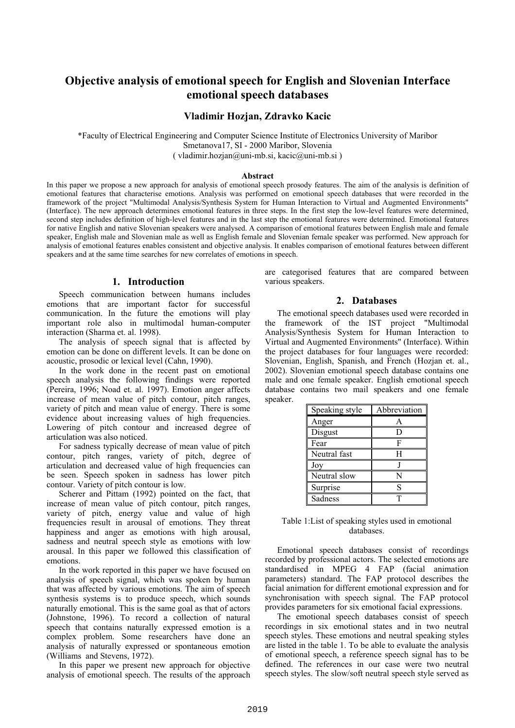# **Objective analysis of emotional speech for English and Slovenian Interface emotional speech databases**

# **Vladimir Hozjan, Zdravko Kacic**

\*Faculty of Electrical Engineering and Computer Science Institute of Electronics University of Maribor Smetanova17, SI - 2000 Maribor, Slovenia ( vladimir.hozjan@uni-mb.si, kacic@uni-mb.si )

#### **Abstract**

In this paper we propose a new approach for analysis of emotional speech prosody features. The aim of the analysis is definition of emotional features that characterise emotions. Analysis was performed on emotional speech databases that were recorded in the framework of the project "Multimodal Analysis/Synthesis System for Human Interaction to Virtual and Augmented Environments" (Interface). The new approach determines emotional features in three steps. In the first step the low-level features were determined, second step includes definition of high-level features and in the last step the emotional features were determined. Emotional features for native English and native Slovenian speakers were analysed. A comparison of emotional features between English male and female speaker, English male and Slovenian male as well as English female and Slovenian female speaker was performed. New approach for analysis of emotional features enables consistent and objective analysis. It enables comparison of emotional features between different speakers and at the same time searches for new correlates of emotions in speech.

### **1. Introduction**

Speech communication between humans includes emotions that are important factor for successful communication. In the future the emotions will play important role also in multimodal human-computer interaction (Sharma et. al. 1998).

The analysis of speech signal that is affected by emotion can be done on different levels. It can be done on acoustic, prosodic or lexical level (Cahn, 1990).

In the work done in the recent past on emotional speech analysis the following findings were reported (Pereira, 1996; Noad et. al. 1997). Emotion anger affects increase of mean value of pitch contour, pitch ranges, variety of pitch and mean value of energy. There is some evidence about increasing values of high frequencies. Lowering of pitch contour and increased degree of articulation was also noticed.

For sadness typically decrease of mean value of pitch contour, pitch ranges, variety of pitch, degree of articulation and decreased value of high frequencies can be seen. Speech spoken in sadness has lower pitch contour. Variety of pitch contour is low.

Scherer and Pittam (1992) pointed on the fact, that increase of mean value of pitch contour, pitch ranges, variety of pitch, energy value and value of high frequencies result in arousal of emotions. They threat happiness and anger as emotions with high arousal, sadness and neutral speech style as emotions with low arousal. In this paper we followed this classification of emotions.

In the work reported in this paper we have focused on analysis of speech signal, which was spoken by human that was affected by various emotions. The aim of speech synthesis systems is to produce speech, which sounds naturally emotional. This is the same goal as that of actors (Johnstone, 1996). To record a collection of natural speech that contains naturally expressed emotion is a complex problem. Some researchers have done an analysis of naturally expressed or spontaneous emotion (Williams and Stevens, 1972).

In this paper we present new approach for objective analysis of emotional speech. The results of the approach are categorised features that are compared between various speakers.

## **2. Databases**

The emotional speech databases used were recorded in the framework of the IST project "Multimodal Analysis/Synthesis System for Human Interaction to Virtual and Augmented Environments" (Interface). Within the project databases for four languages were recorded: Slovenian, English, Spanish, and French (Hozjan et. al., 2002). Slovenian emotional speech database contains one male and one female speaker. English emotional speech database contains two mail speakers and one female speaker.

| Speaking style | Abbreviation |
|----------------|--------------|
| Anger          | A            |
| Disgust        | נ ו          |
| Fear           | F            |
| Neutral fast   | H            |
| Joy            |              |
| Neutral slow   | N            |
| Surprise       | S            |
| Sadness        |              |

| Table 1: List of speaking styles used in emotional |  |
|----------------------------------------------------|--|
| databases.                                         |  |

Emotional speech databases consist of recordings recorded by professional actors. The selected emotions are standardised in MPEG 4 FAP (facial animation parameters) standard. The FAP protocol describes the facial animation for different emotional expression and for synchronisation with speech signal. The FAP protocol provides parameters for six emotional facial expressions.

The emotional speech databases consist of speech recordings in six emotional states and in two neutral speech styles. These emotions and neutral speaking styles are listed in the table 1. To be able to evaluate the analysis of emotional speech, a reference speech signal has to be defined. The references in our case were two neutral speech styles. The slow/soft neutral speech style served as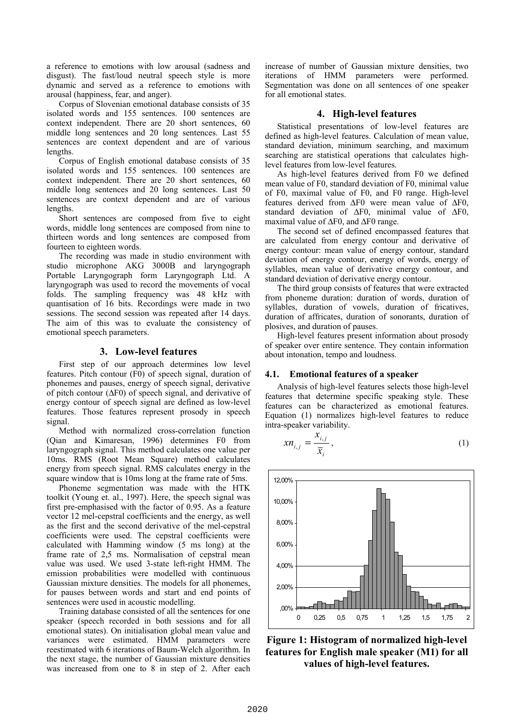a reference to emotions with low arousal (sadness and disgust). The fast/loud neutral speech style is more dynamic and served as a reference to emotions with arousal (happiness, fear, and anger).

Corpus of Slovenian emotional database consists of 35 isolated words and 155 sentences. 100 sentences are context independent. There are 20 short sentences, 60 middle long sentences and 20 long sentences. Last 55 sentences are context dependent and are of various lengths.

Corpus of English emotional database consists of 35 isolated words and 155 sentences. 100 sentences are context independent. There are 20 short sentences, 60 middle long sentences and 20 long sentences. Last 50 sentences are context dependent and are of various lengths.

Short sentences are composed from five to eight words, middle long sentences are composed from nine to thirteen words and long sentences are composed from fourteen to eighteen words.

The recording was made in studio environment with studio microphone AKG 3000B and laryngograph Portable Laryngograph form Laryngograph Ltd. A laryngograph was used to record the movements of vocal folds. The sampling frequency was 48 kHz with quantisation of 16 bits. Recordings were made in two sessions. The second session was repeated after 14 days. The aim of this was to evaluate the consistency of emotional speech parameters.

## **3. Low-level features**

First step of our approach determines low level features. Pitch contour (F0) of speech signal, duration of phonemes and pauses, energy of speech signal, derivative of pitch contour (∆F0) of speech signal, and derivative of energy contour of speech signal are defined as low-level features. Those features represent prosody in speech signal.

Method with normalized cross-correlation function (Qian and Kimaresan, 1996) determines F0 from laryngograph signal. This method calculates one value per 10ms. RMS (Root Mean Square) method calculates energy from speech signal. RMS calculates energy in the square window that is 10ms long at the frame rate of 5ms.

Phoneme segmentation was made with the HTK toolkit (Young et. al., 1997). Here, the speech signal was first pre-emphasised with the factor of 0.95. As a feature vector 12 mel-cepstral coefficients and the energy, as well as the first and the second derivative of the mel-cepstral coefficients were used. The cepstral coefficients were calculated with Hamming window (5 ms long) at the frame rate of 2,5 ms. Normalisation of cepstral mean value was used. We used 3-state left-right HMM. The emission probabilities were modelled with continuous Gaussian mixture densities. The models for all phonemes, for pauses between words and start and end points of sentences were used in acoustic modelling.

Training database consisted of all the sentences for one speaker (speech recorded in both sessions and for all emotional states). On initialisation global mean value and variances were estimated. HMM parameters were reestimated with 6 iterations of Baum-Welch algorithm. In the next stage, the number of Gaussian mixture densities was increased from one to 8 in step of 2. After each increase of number of Gaussian mixture densities, two iterations of HMM parameters were performed. Segmentation was done on all sentences of one speaker for all emotional states.

# **4. High-level features**

Statistical presentations of low-level features are defined as high-level features. Calculation of mean value, standard deviation, minimum searching, and maximum searching are statistical operations that calculates highlevel features from low-level features.

As high-level features derived from F0 we defined mean value of F0, standard deviation of F0, minimal value of F0, maximal value of F0, and F0 range. High-level features derived from ∆F0 were mean value of ∆F0, standard deviation of ∆F0, minimal value of ∆F0, maximal value of ∆F0, and ∆F0 range.

The second set of defined encompassed features that are calculated from energy contour and derivative of energy contour: mean value of energy contour, standard deviation of energy contour, energy of words, energy of syllables, mean value of derivative energy contour, and standard deviation of derivative energy contour.

The third group consists of features that were extracted from phoneme duration: duration of words, duration of syllables, duration of vowels, duration of fricatives, duration of affricates, duration of sonorants, duration of plosives, and duration of pauses.

High-level features present information about prosody of speaker over entire sentence. They contain information about intonation, tempo and loudness.

## **4.1. Emotional features of a speaker**

Analysis of high-level features selects those high-level features that determine specific speaking style. These features can be characterized as emotional features. Equation (1) normalizes high-level features to reduce intra-speaker variability.

$$
xn_{i,j} = \frac{x_{i,j}}{\bar{x}_i},
$$
\n(1)



**Figure 1: Histogram of normalized high-level features for English male speaker (M1) for all values of high-level features.**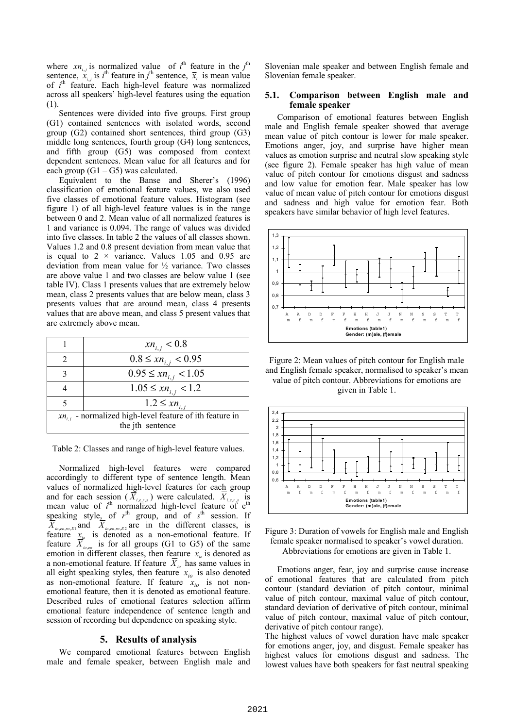where  $xn_{i,j}$  is normalized value of  $i^{\text{th}}$  feature in the  $j^{\text{th}}$ sentence,  $\ddot{x}_{i,j}$  is *i*<sup>th</sup> feature in *j*<sup>th</sup> sentence,  $\bar{x}_i$  is mean value of *i*<sup>th</sup> feature. Each high-level feature was normalized across all speakers' high-level features using the equation (1).

Sentences were divided into five groups. First group (G1) contained sentences with isolated words, second group (G2) contained short sentences, third group (G3) middle long sentences, fourth group (G4) long sentences, and fifth group (G5) was composed from context dependent sentences. Mean value for all features and for each group  $(G1 - G5)$  was calculated.

Equivalent to the Banse and Sherer's (1996) classification of emotional feature values, we also used five classes of emotional feature values. Histogram (see figure 1) of all high-level feature values is in the range between 0 and 2. Mean value of all normalized features is 1 and variance is 0.094. The range of values was divided into five classes. In table 2 the values of all classes shown. Values 1.2 and 0.8 present deviation from mean value that is equal to  $2 \times$  variance. Values 1.05 and 0.95 are deviation from mean value for ½ variance. Two classes are above value 1 and two classes are below value 1 (see table IV). Class 1 presents values that are extremely below mean, class 2 presents values that are below mean, class 3 presents values that are around mean, class 4 presents values that are above mean, and class 5 present values that are extremely above mean.

|                                                                                  | $xn_{i,j} < 0.8$            |
|----------------------------------------------------------------------------------|-----------------------------|
|                                                                                  | $0.8 \leq xn_{i,i} < 0.95$  |
| 3                                                                                | $0.95 \leq xn_{i,i} < 1.05$ |
|                                                                                  | $1.05 \leq xn_{i,j} < 1.2$  |
|                                                                                  | $1.2 \leq xn_{i,i}$         |
| $xn_{i,j}$ - normalized high-level feature of ith feature in<br>the jth sentence |                             |

Table 2: Classes and range of high-level feature values.

Normalized high-level features were compared accordingly to different type of sentence length. Mean values of normalized high-level features for each group and for each session ( $\overline{X}_{i,e,r,s}$ ) were calculated.  $\overline{X}_{i,e,r,s}$  is mean value of  $i^{\text{th}}$  normalized high-level feature of  $e^{\text{th}}$ speaking style, of  $r<sup>th</sup>$  group, and of  $s<sup>th</sup>$  session. If  $X_{i_0, e_0, r_0, E1}$  and  $X_{i_0, e_0, r_0, E2}$  are in the different classes, is feature  $x_{i}$  is denoted as a non-emotional feature. If feature  $\overline{X}_{i_0,e_0}$  is for all groups (G1 to G5) of the same emotion in different classes, then feature  $x_{i}$  is denoted as a non-emotional feature. If feature  $\overline{X}_{i_0}$  has same values in all eight speaking styles, then feature  $x_{i0}$  is also denoted as non-emotional feature. If feature  $x_{io}$  is not nonemotional feature, then it is denoted as emotional feature. Described rules of emotional features selection affirm emotional feature independence of sentence length and session of recording but dependence on speaking style.

#### **5. Results of analysis**

We compared emotional features between English male and female speaker, between English male and Slovenian male speaker and between English female and Slovenian female speaker.

#### **5.1. Comparison between English male and female speaker**

Comparison of emotional features between English male and English female speaker showed that average mean value of pitch contour is lower for male speaker. Emotions anger, joy, and surprise have higher mean values as emotion surprise and neutral slow speaking style (see figure 2). Female speaker has high value of mean value of pitch contour for emotions disgust and sadness and low value for emotion fear. Male speaker has low value of mean value of pitch contour for emotions disgust and sadness and high value for emotion fear. Both speakers have similar behavior of high level features.



Figure 2: Mean values of pitch contour for English male and English female speaker, normalised to speaker's mean value of pitch contour. Abbreviations for emotions are given in Table 1.



Figure 3: Duration of vowels for English male and English female speaker normalised to speaker's vowel duration. Abbreviations for emotions are given in Table 1.

Emotions anger, fear, joy and surprise cause increase of emotional features that are calculated from pitch contour (standard deviation of pitch contour, minimal value of pitch contour, maximal value of pitch contour, standard deviation of derivative of pitch contour, minimal value of pitch contour, maximal value of pitch contour, derivative of pitch contour range).

The highest values of vowel duration have male speaker for emotions anger, joy, and disgust. Female speaker has highest values for emotions disgust and sadness. The lowest values have both speakers for fast neutral speaking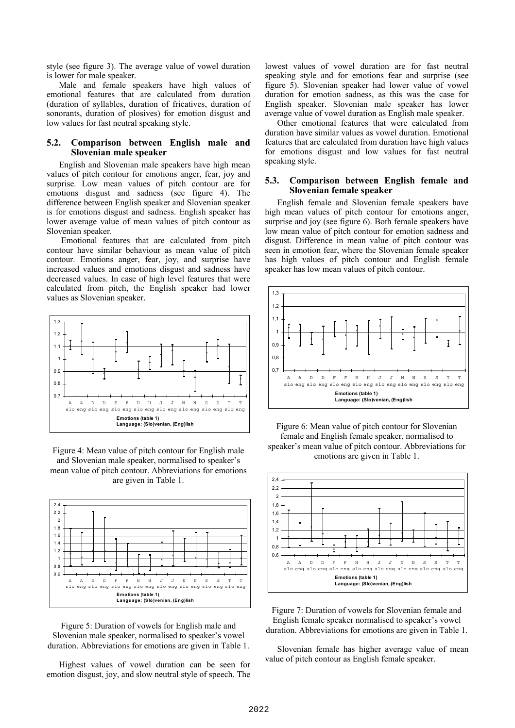style (see figure 3). The average value of vowel duration is lower for male speaker.

Male and female speakers have high values of emotional features that are calculated from duration (duration of syllables, duration of fricatives, duration of sonorants, duration of plosives) for emotion disgust and low values for fast neutral speaking style.

#### **5.2. Comparison between English male and Slovenian male speaker**

English and Slovenian male speakers have high mean values of pitch contour for emotions anger, fear, joy and surprise. Low mean values of pitch contour are for emotions disgust and sadness (see figure 4). The difference between English speaker and Slovenian speaker is for emotions disgust and sadness. English speaker has lower average value of mean values of pitch contour as Slovenian speaker.

 Emotional features that are calculated from pitch contour have similar behaviour as mean value of pitch contour. Emotions anger, fear, joy, and surprise have increased values and emotions disgust and sadness have decreased values. In case of high level features that were calculated from pitch, the English speaker had lower values as Slovenian speaker.



Figure 4: Mean value of pitch contour for English male and Slovenian male speaker, normalised to speaker's mean value of pitch contour. Abbreviations for emotions are given in Table 1.



Figure 5: Duration of vowels for English male and Slovenian male speaker, normalised to speaker's vowel duration. Abbreviations for emotions are given in Table 1.

Highest values of vowel duration can be seen for emotion disgust, joy, and slow neutral style of speech. The lowest values of vowel duration are for fast neutral speaking style and for emotions fear and surprise (see figure 5). Slovenian speaker had lower value of vowel duration for emotion sadness, as this was the case for English speaker. Slovenian male speaker has lower average value of vowel duration as English male speaker.

Other emotional features that were calculated from duration have similar values as vowel duration. Emotional features that are calculated from duration have high values for emotions disgust and low values for fast neutral speaking style.

#### **5.3. Comparison between English female and Slovenian female speaker**

English female and Slovenian female speakers have high mean values of pitch contour for emotions anger, surprise and joy (see figure 6). Both female speakers have low mean value of pitch contour for emotion sadness and disgust. Difference in mean value of pitch contour was seen in emotion fear, where the Slovenian female speaker has high values of pitch contour and English female speaker has low mean values of pitch contour.







Figure 7: Duration of vowels for Slovenian female and English female speaker normalised to speaker's vowel duration. Abbreviations for emotions are given in Table 1.

Slovenian female has higher average value of mean value of pitch contour as English female speaker.